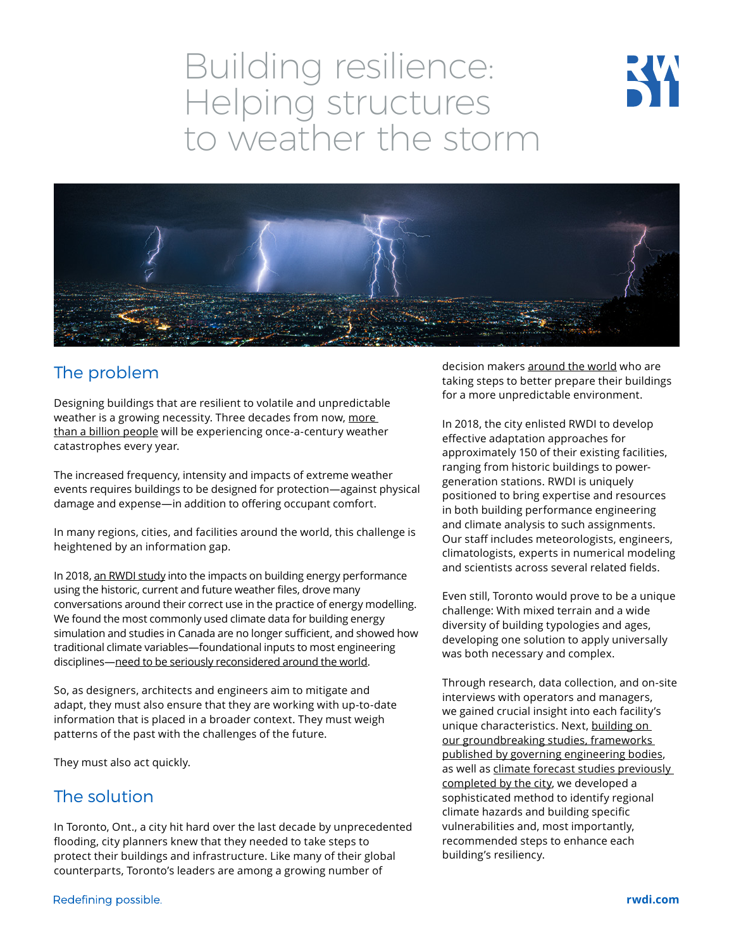# Building resilience: Helping structures to weather the storm





## The problem

Designing buildings that are resilient to volatile and unpredictable weather is a growing necessity. Three decades from now, more [than a billion people](https://www.channelnewsasia.com/news/world/once-century-weather-catastrophes-occur-once-year-un-climate-11941748) will be experiencing once-a-century weather catastrophes every year.

The increased frequency, intensity and impacts of extreme weather events requires buildings to be designed for protection—against physical damage and expense—in addition to offering occupant comfort.

In many regions, cities, and facilities around the world, this challenge is heightened by an information gap.

In 2018, [an RWDI study](https://rwdi.com/assets/factsheets/Modelling-weather-futures.pdf) into the impacts on building energy performance using the historic, current and future weather files, drove many conversations around their correct use in the practice of energy modelling. We found the most commonly used climate data for building energy simulation and studies in Canada are no longer sufficient, and showed how traditional climate variables—foundational inputs to most engineering disciplines[—need to be seriously reconsidered around the world.](https://rwdi.com/en_ca/knowledge/blog/modeling-weather-futures)

So, as designers, architects and engineers aim to mitigate and adapt, they must also ensure that they are working with up-to-date information that is placed in a broader context. They must weigh patterns of the past with the challenges of the future.

They must also act quickly.

## The solution

In Toronto, Ont., a city hit hard over the last decade by unprecedented flooding, city planners knew that they needed to take steps to protect their buildings and infrastructure. Like many of their global counterparts, Toronto's leaders are among a growing number of

decision makers [around the world](https://rwdi.com/en_ca/knowledge/blog/modeling-the-cities-of-tomorrow-city-of-london) who are taking steps to better prepare their buildings for a more unpredictable environment.

In 2018, the city enlisted RWDI to develop effective adaptation approaches for approximately 150 of their existing facilities, ranging from historic buildings to powergeneration stations. RWDI is uniquely positioned to bring expertise and resources in both building performance engineering and climate analysis to such assignments. Our staff includes meteorologists, engineers, climatologists, experts in numerical modeling and scientists across several related fields.

Even still, Toronto would prove to be a unique challenge: With mixed terrain and a wide diversity of building typologies and ages, developing one solution to apply universally was both necessary and complex.

Through research, data collection, and on-site interviews with operators and managers, we gained crucial insight into each facility's unique characteristics. Next, building on [our groundbreaking studies, frameworks](https://rwdi.com/en_ca/knowledge/blog/modeling-weather-futures)  [published by governing engineering bodies,](https://rwdi.com/en_ca/knowledge/blog/modeling-weather-futures) as well as [climate forecast studies previously](https://www.toronto.ca/wp-content/uploads/2018/04/982c-Torontos-Future-Weather-and-Climate-Drivers-Study-2012.pdf)  [completed by the city](https://www.toronto.ca/wp-content/uploads/2018/04/982c-Torontos-Future-Weather-and-Climate-Drivers-Study-2012.pdf), we developed a sophisticated method to identify regional climate hazards and building specific vulnerabilities and, most importantly, recommended steps to enhance each building's resiliency.